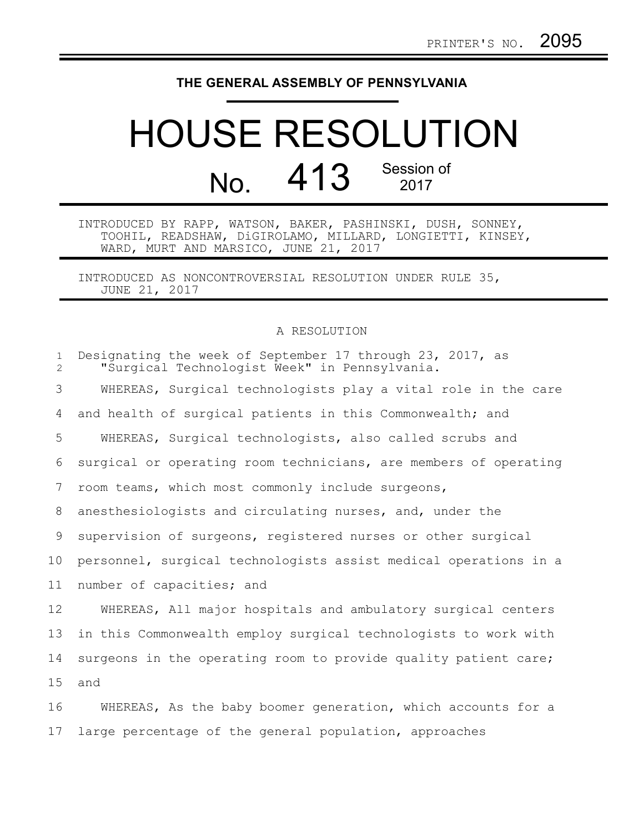## **THE GENERAL ASSEMBLY OF PENNSYLVANIA**

## HOUSE RESOLUTION No. 413 Session of

INTRODUCED BY RAPP, WATSON, BAKER, PASHINSKI, DUSH, SONNEY, TOOHIL, READSHAW, DiGIROLAMO, MILLARD, LONGIETTI, KINSEY, WARD, MURT AND MARSICO, JUNE 21, 2017

INTRODUCED AS NONCONTROVERSIAL RESOLUTION UNDER RULE 35, JUNE 21, 2017

## A RESOLUTION

| $\mathbf{1}$<br>$\mathbf{2}^{\prime}$ | Designating the week of September 17 through 23, 2017, as<br>"Surgical Technologist Week" in Pennsylvania. |
|---------------------------------------|------------------------------------------------------------------------------------------------------------|
| 3                                     | WHEREAS, Surgical technologists play a vital role in the care                                              |
| 4                                     | and health of surgical patients in this Commonwealth; and                                                  |
| 5                                     | WHEREAS, Surgical technologists, also called scrubs and                                                    |
| 6                                     | surgical or operating room technicians, are members of operating                                           |
| 7                                     | room teams, which most commonly include surgeons,                                                          |
| 8                                     | anesthesiologists and circulating nurses, and, under the                                                   |
| 9                                     | supervision of surgeons, registered nurses or other surgical                                               |
| 10                                    | personnel, surgical technologists assist medical operations in a                                           |
| 11                                    | number of capacities; and                                                                                  |
| 12                                    | WHEREAS, All major hospitals and ambulatory surgical centers                                               |
| 13                                    | in this Commonwealth employ surgical technologists to work with                                            |
| 14                                    | surgeons in the operating room to provide quality patient care;                                            |
| 15                                    | and                                                                                                        |
| 16                                    | WHEREAS, As the baby boomer generation, which accounts for a                                               |
| 17                                    | large percentage of the general population, approaches                                                     |